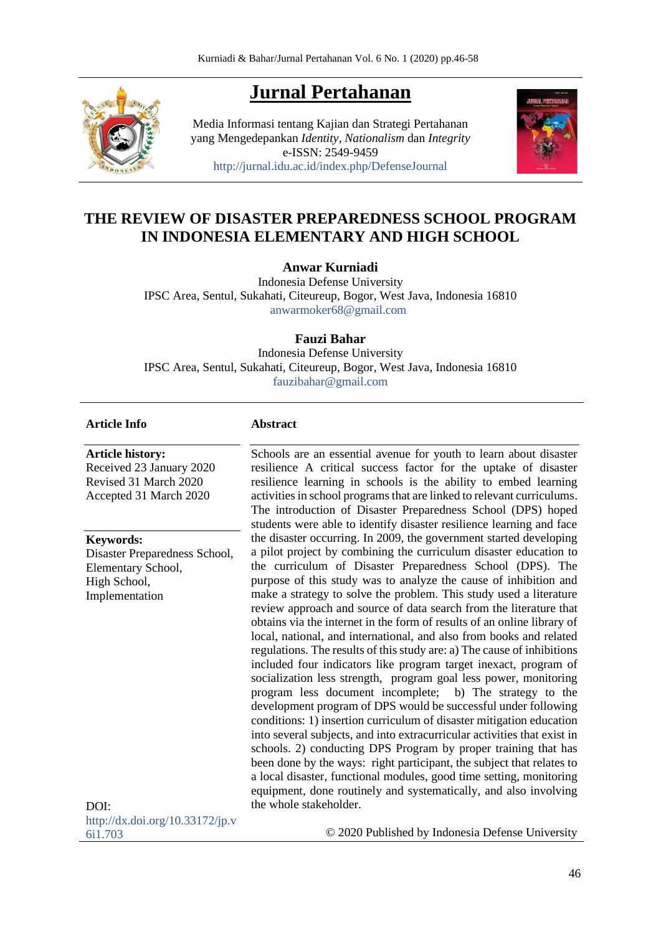# **Jurnal Pertahanan**

Media Informasi tentang Kajian dan Strategi Pertahanan yang Mengedepankan *Identity*, *Nationalism* dan *Integrity* e-ISSN: 2549-9459 <http://jurnal.idu.ac.id/index.php/DefenseJournal>



# **THE REVIEW OF DISASTER PREPAREDNESS SCHOOL PROGRAM IN INDONESIA ELEMENTARY AND HIGH SCHOOL**

## **Anwar Kurniadi**

Indonesia Defense University IPSC Area, Sentul, Sukahati, Citeureup, Bogor, West Java, Indonesia 16810 [anwarmoker68@gmail.com](mailto:anwarmoker68@gmail.com)

#### **Fauzi Bahar**

Indonesia Defense University IPSC Area, Sentul, Sukahati, Citeureup, Bogor, West Java, Indonesia 16810 [fauzibahar@gmail.com](mailto:fauzibahar@gmail.com)

#### **Article Info**

**Article history:** 

Received 23 January 2020 Revised 31 March 2020 Accepted 31 March 2020

#### **Keywords:**

Disaster Preparedness School, Elementary School, High School, Implementation

#### **Abstract**

Schools are an essential avenue for youth to learn about disaster resilience A critical success factor for the uptake of disaster resilience learning in schools is the ability to embed learning activities in school programs that are linked to relevant curriculums. The introduction of Disaster Preparedness School (DPS) hoped students were able to identify disaster resilience learning and face the disaster occurring. In 2009, the government started developing a pilot project by combining the curriculum disaster education to the curriculum of Disaster Preparedness School (DPS). The purpose of this study was to analyze the cause of inhibition and make a strategy to solve the problem. This study used a literature review approach and source of data search from the literature that obtains via the internet in the form of results of an online library of local, national, and international, and also from books and related regulations. The results of this study are: a) The cause of inhibitions included four indicators like program target inexact, program of socialization less strength, program goal less power, monitoring program less document incomplete; b) The strategy to the development program of DPS would be successful under following conditions: 1) insertion curriculum of disaster mitigation education into several subjects, and into extracurricular activities that exist in schools. 2) conducting DPS Program by proper training that has been done by the ways: right participant, the subject that relates to a local disaster, functional modules, good time setting, monitoring equipment, done routinely and systematically, and also involving the whole stakeholder.

DOI: [http://dx.doi.org/10.33172/jp.v](http://dx.doi.org/10.33172/jp.v6i1.703) [6i1.703](http://dx.doi.org/10.33172/jp.v6i1.703)

© 2020 Published by Indonesia Defense University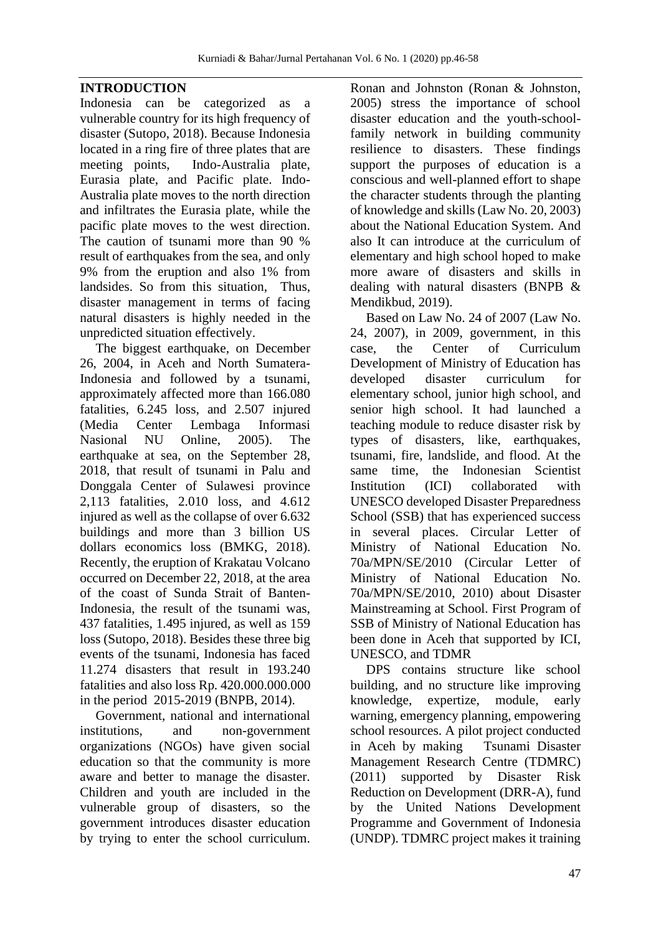# **INTRODUCTION**

Indonesia can be categorized as a vulnerable country for its high frequency of disaster (Sutopo, 2018). Because Indonesia located in a ring fire of three plates that are meeting points, Indo-Australia plate, Eurasia plate, and Pacific plate. Indo-Australia plate moves to the north direction and infiltrates the Eurasia plate, while the pacific plate moves to the west direction. The caution of tsunami more than 90 % result of earthquakes from the sea, and only 9% from the eruption and also 1% from landsides. So from this situation, Thus, disaster management in terms of facing natural disasters is highly needed in the unpredicted situation effectively.

The biggest earthquake, on December 26, 2004, in Aceh and North Sumatera-Indonesia and followed by a tsunami, approximately affected more than 166.080 fatalities, 6.245 loss, and 2.507 injured (Media Center Lembaga Informasi Nasional NU Online, 2005). The earthquake at sea, on the September 28, 2018, that result of tsunami in Palu and Donggala Center of Sulawesi province 2,113 fatalities, 2.010 loss, and 4.612 injured as well as the collapse of over 6.632 buildings and more than 3 billion US dollars economics loss (BMKG, 2018). Recently, the eruption of Krakatau Volcano occurred on December 22, 2018, at the area of the coast of Sunda Strait of Banten-Indonesia, the result of the tsunami was, 437 fatalities, 1.495 injured, as well as 159 loss (Sutopo, 2018). Besides these three big events of the tsunami, Indonesia has faced 11.274 disasters that result in 193.240 fatalities and also loss Rp. 420.000.000.000 in the period 2015-2019 (BNPB, 2014).

Government, national and international institutions, and non-government organizations (NGOs) have given social education so that the community is more aware and better to manage the disaster. Children and youth are included in the vulnerable group of disasters, so the government introduces disaster education by trying to enter the school curriculum.

Ronan and Johnston (Ronan & Johnston, 2005) stress the importance of school disaster education and the youth-schoolfamily network in building community resilience to disasters. These findings support the purposes of education is a conscious and well-planned effort to shape the character students through the planting of knowledge and skills (Law No. 20, 2003) about the National Education System. And also It can introduce at the curriculum of elementary and high school hoped to make more aware of disasters and skills in dealing with natural disasters (BNPB & Mendikbud, 2019).

Based on Law No. 24 of 2007 (Law No. 24, 2007), in 2009, government, in this case, the Center of Curriculum Development of Ministry of Education has developed disaster curriculum for elementary school, junior high school, and senior high school. It had launched a teaching module to reduce disaster risk by types of disasters, like, earthquakes, tsunami, fire, landslide, and flood. At the same time, the Indonesian Scientist Institution (ICI) collaborated with UNESCO developed Disaster Preparedness School (SSB) that has experienced success in several places. Circular Letter of Ministry of National Education No. 70a/MPN/SE/2010 (Circular Letter of Ministry of National Education No. 70a/MPN/SE/2010, 2010) about Disaster Mainstreaming at School. First Program of SSB of Ministry of National Education has been done in Aceh that supported by ICI, UNESCO, and TDMR

DPS contains structure like school building, and no structure like improving knowledge, expertize, module, early warning, emergency planning, empowering school resources. A pilot project conducted in Aceh by making Tsunami Disaster Management Research Centre (TDMRC) (2011) supported by Disaster Risk Reduction on Development (DRR-A), fund by the United Nations Development Programme and Government of Indonesia (UNDP). TDMRC project makes it training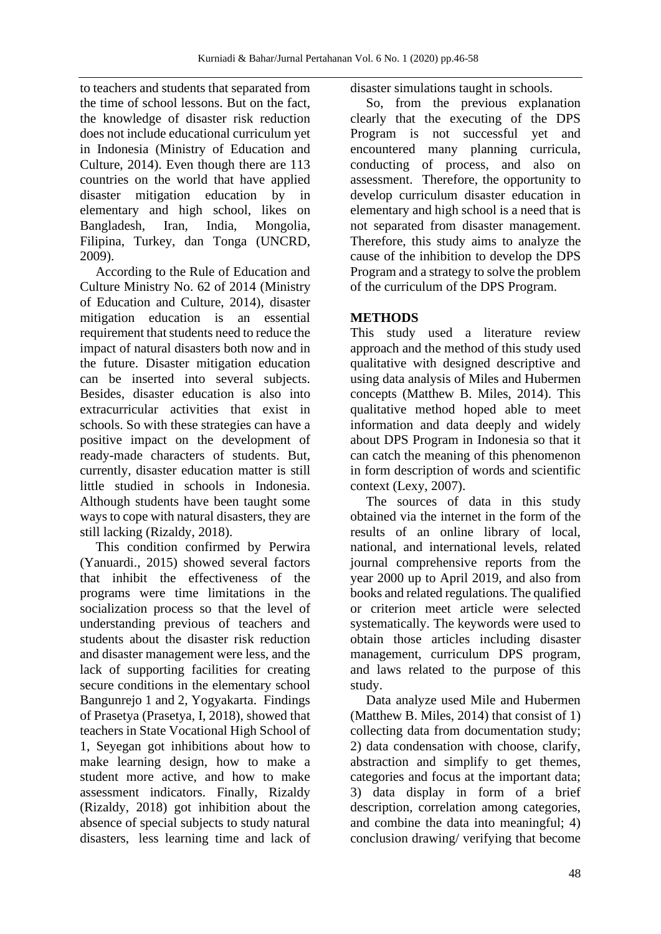to teachers and students that separated from the time of school lessons. But on the fact, the knowledge of disaster risk reduction does not include educational curriculum yet in Indonesia (Ministry of Education and Culture, 2014). Even though there are 113 countries on the world that have applied disaster mitigation education by in elementary and high school, likes on Bangladesh, Iran, India, Mongolia, Filipina, Turkey, dan Tonga (UNCRD, 2009).

According to the Rule of Education and Culture Ministry No. 62 of 2014 (Ministry of Education and Culture, 2014), disaster mitigation education is an essential requirement that students need to reduce the impact of natural disasters both now and in the future. Disaster mitigation education can be inserted into several subjects. Besides, disaster education is also into extracurricular activities that exist in schools. So with these strategies can have a positive impact on the development of ready-made characters of students. But, currently, disaster education matter is still little studied in schools in Indonesia. Although students have been taught some ways to cope with natural disasters, they are still lacking (Rizaldy, 2018).

This condition confirmed by Perwira (Yanuardi., 2015) showed several factors that inhibit the effectiveness of the programs were time limitations in the socialization process so that the level of understanding previous of teachers and students about the disaster risk reduction and disaster management were less, and the lack of supporting facilities for creating secure conditions in the elementary school Bangunrejo 1 and 2, Yogyakarta. Findings of Prasetya (Prasetya, I, 2018), showed that teachers in State Vocational High School of 1, Seyegan got inhibitions about how to make learning design, how to make a student more active, and how to make assessment indicators. Finally, Rizaldy (Rizaldy, 2018) got inhibition about the absence of special subjects to study natural disasters, less learning time and lack of disaster simulations taught in schools.

So, from the previous explanation clearly that the executing of the DPS Program is not successful yet and encountered many planning curricula, conducting of process, and also on assessment. Therefore, the opportunity to develop curriculum disaster education in elementary and high school is a need that is not separated from disaster management. Therefore, this study aims to analyze the cause of the inhibition to develop the DPS Program and a strategy to solve the problem of the curriculum of the DPS Program.

# **METHODS**

This study used a literature review approach and the method of this study used qualitative with designed descriptive and using data analysis of Miles and Hubermen concepts (Matthew B. Miles, 2014). This qualitative method hoped able to meet information and data deeply and widely about DPS Program in Indonesia so that it can catch the meaning of this phenomenon in form description of words and scientific context (Lexy, 2007).

The sources of data in this study obtained via the internet in the form of the results of an online library of local, national, and international levels, related journal comprehensive reports from the year 2000 up to April 2019, and also from books and related regulations. The qualified or criterion meet article were selected systematically. The keywords were used to obtain those articles including disaster management, curriculum DPS program, and laws related to the purpose of this study.

Data analyze used Mile and Hubermen (Matthew B. Miles, 2014) that consist of 1) collecting data from documentation study; 2) data condensation with choose, clarify, abstraction and simplify to get themes, categories and focus at the important data; 3) data display in form of a brief description, correlation among categories, and combine the data into meaningful; 4) conclusion drawing/ verifying that become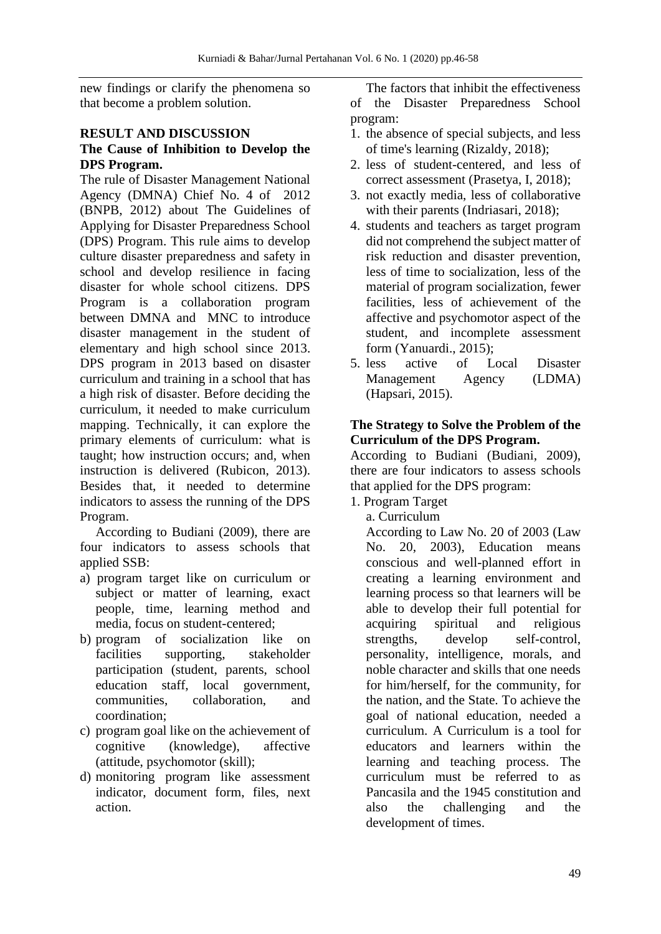new findings or clarify the phenomena so that become a problem solution.

# **RESULT AND DISCUSSION**

# **The Cause of Inhibition to Develop the DPS Program.**

The rule of Disaster Management National Agency (DMNA) Chief No. 4 of 2012 (BNPB, 2012) about The Guidelines of Applying for Disaster Preparedness School (DPS) Program. This rule aims to develop culture disaster preparedness and safety in school and develop resilience in facing disaster for whole school citizens. DPS Program is a collaboration program between DMNA and MNC to introduce disaster management in the student of elementary and high school since 2013. DPS program in 2013 based on disaster curriculum and training in a school that has a high risk of disaster. Before deciding the curriculum, it needed to make curriculum mapping. Technically, it can explore the primary elements of curriculum: what is taught; how instruction occurs; and, when instruction is delivered (Rubicon, 2013). Besides that, it needed to determine indicators to assess the running of the DPS Program.

According to Budiani (2009), there are four indicators to assess schools that applied SSB:

- a) program target like on curriculum or subject or matter of learning, exact people, time, learning method and media, focus on student-centered;
- b) program of socialization like on facilities supporting, stakeholder participation (student, parents, school education staff, local government, communities, collaboration, and coordination;
- c) program goal like on the achievement of cognitive (knowledge), affective (attitude, psychomotor (skill);
- d) monitoring program like assessment indicator, document form, files, next action.

The factors that inhibit the effectiveness of the Disaster Preparedness School program:

- 1. the absence of special subjects, and less of time's learning (Rizaldy, 2018);
- 2. less of student-centered, and less of correct assessment (Prasetya, I, 2018);
- 3. not exactly media, less of collaborative with their parents (Indriasari, 2018);
- 4. students and teachers as target program did not comprehend the subject matter of risk reduction and disaster prevention, less of time to socialization, less of the material of program socialization, fewer facilities, less of achievement of the affective and psychomotor aspect of the student, and incomplete assessment form (Yanuardi., 2015);
- 5. less active of Local Disaster Management Agency (LDMA) (Hapsari, 2015).

#### **The Strategy to Solve the Problem of the Curriculum of the DPS Program.**

According to Budiani (Budiani, 2009), there are four indicators to assess schools that applied for the DPS program:

1. Program Target

a. Curriculum

According to Law No. 20 of 2003 (Law No. 20, 2003), Education means conscious and well-planned effort in creating a learning environment and learning process so that learners will be able to develop their full potential for acquiring spiritual and religious strengths, develop self-control, personality, intelligence, morals, and noble character and skills that one needs for him/herself, for the community, for the nation, and the State. To achieve the goal of national education, needed a curriculum. A Curriculum is a tool for educators and learners within the learning and teaching process. The curriculum must be referred to as Pancasila and the 1945 constitution and also the challenging and the development of times.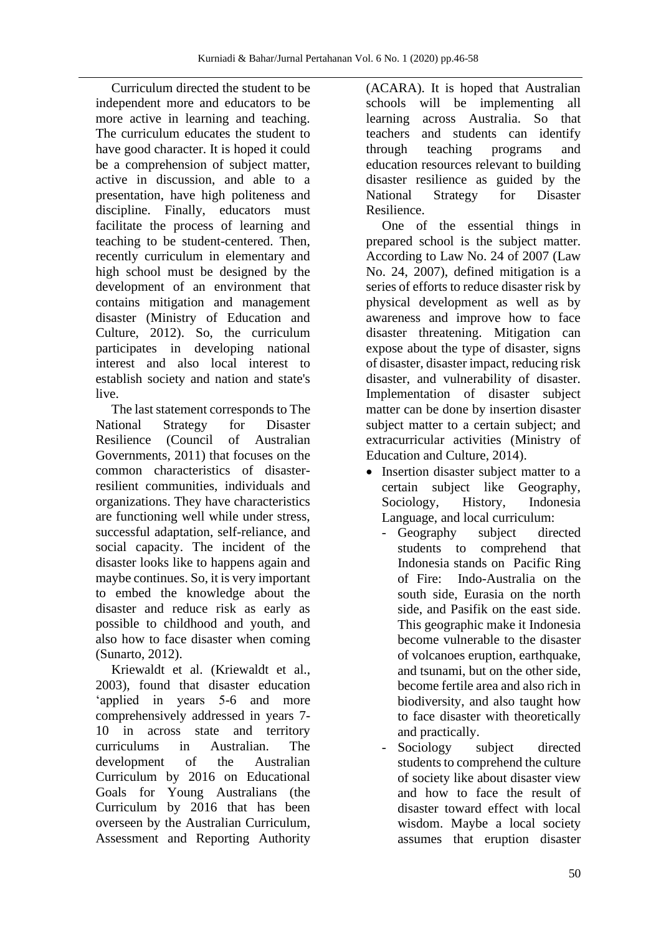Curriculum directed the student to be independent more and educators to be more active in learning and teaching. The curriculum educates the student to have good character. It is hoped it could be a comprehension of subject matter, active in discussion, and able to a presentation, have high politeness and discipline. Finally, educators must facilitate the process of learning and teaching to be student-centered. Then, recently curriculum in elementary and high school must be designed by the development of an environment that contains mitigation and management disaster (Ministry of Education and Culture, 2012). So, the curriculum participates in developing national interest and also local interest to establish society and nation and state's live.

The last statement corresponds to The National Strategy for Disaster Resilience (Council of Australian Governments, 2011) that focuses on the common characteristics of disasterresilient communities, individuals and organizations. They have characteristics are functioning well while under stress, successful adaptation, self-reliance, and social capacity. The incident of the disaster looks like to happens again and maybe continues. So, it is very important to embed the knowledge about the disaster and reduce risk as early as possible to childhood and youth, and also how to face disaster when coming (Sunarto, 2012).

Kriewaldt et al. (Kriewaldt et al., 2003), found that disaster education 'applied in years 5-6 and more comprehensively addressed in years 7- 10 in across state and territory curriculums in Australian. The development of the Australian Curriculum by 2016 on Educational Goals for Young Australians (the Curriculum by 2016 that has been overseen by the Australian Curriculum, Assessment and Reporting Authority (ACARA). It is hoped that Australian schools will be implementing all learning across Australia. So that teachers and students can identify through teaching programs and education resources relevant to building disaster resilience as guided by the National Strategy for Disaster Resilience.

One of the essential things in prepared school is the subject matter. According to Law No. 24 of 2007 (Law No. 24, 2007), defined mitigation is a series of efforts to reduce disaster risk by physical development as well as by awareness and improve how to face disaster threatening. Mitigation can expose about the type of disaster, signs of disaster, disaster impact, reducing risk disaster, and vulnerability of disaster. Implementation of disaster subject matter can be done by insertion disaster subject matter to a certain subject; and extracurricular activities (Ministry of Education and Culture, 2014).

- Insertion disaster subject matter to a certain subject like Geography, Sociology, History, Indonesia Language, and local curriculum:
	- Geography subject directed students to comprehend that Indonesia stands on Pacific Ring of Fire: Indo-Australia on the south side, Eurasia on the north side, and Pasifik on the east side. This geographic make it Indonesia become vulnerable to the disaster of volcanoes eruption, earthquake, and tsunami, but on the other side, become fertile area and also rich in biodiversity, and also taught how to face disaster with theoretically and practically.
	- Sociology subject directed students to comprehend the culture of society like about disaster view and how to face the result of disaster toward effect with local wisdom. Maybe a local society assumes that eruption disaster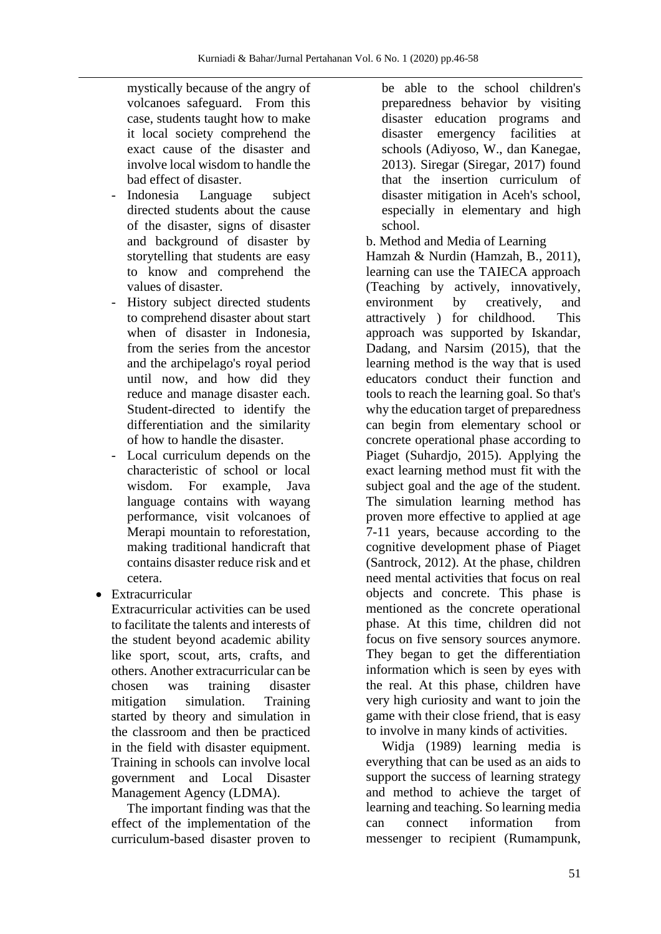mystically because of the angry of volcanoes safeguard. From this case, students taught how to make it local society comprehend the exact cause of the disaster and involve local wisdom to handle the bad effect of disaster.

- Indonesia Language subject directed students about the cause of the disaster, signs of disaster and background of disaster by storytelling that students are easy to know and comprehend the values of disaster.
- History subject directed students to comprehend disaster about start when of disaster in Indonesia, from the series from the ancestor and the archipelago's royal period until now, and how did they reduce and manage disaster each. Student-directed to identify the differentiation and the similarity of how to handle the disaster.
- Local curriculum depends on the characteristic of school or local wisdom. For example, Java language contains with wayang performance, visit volcanoes of Merapi mountain to reforestation, making traditional handicraft that contains disaster reduce risk and et cetera.
- Extracurricular

Extracurricular activities can be used to facilitate the talents and interests of the student beyond academic ability like sport, scout, arts, crafts, and others. Another extracurricular can be chosen was training disaster mitigation simulation. Training started by theory and simulation in the classroom and then be practiced in the field with disaster equipment. Training in schools can involve local government and Local Disaster Management Agency (LDMA).

The important finding was that the effect of the implementation of the curriculum-based disaster proven to

be able to the school children's preparedness behavior by visiting disaster education programs and disaster emergency facilities at schools (Adiyoso, W., dan Kanegae, 2013). Siregar (Siregar, 2017) found that the insertion curriculum of disaster mitigation in Aceh's school, especially in elementary and high school.

b. Method and Media of Learning

Hamzah & Nurdin (Hamzah, B., 2011), learning can use the TAIECA approach (Teaching by actively, innovatively, environment by creatively, and attractively ) for childhood. This approach was supported by Iskandar, Dadang, and Narsim (2015), that the learning method is the way that is used educators conduct their function and tools to reach the learning goal. So that's why the education target of preparedness can begin from elementary school or concrete operational phase according to Piaget (Suhardjo, 2015). Applying the exact learning method must fit with the subject goal and the age of the student. The simulation learning method has proven more effective to applied at age 7-11 years, because according to the cognitive development phase of Piaget (Santrock, 2012). At the phase, children need mental activities that focus on real objects and concrete. This phase is mentioned as the concrete operational phase. At this time, children did not focus on five sensory sources anymore. They began to get the differentiation information which is seen by eyes with the real. At this phase, children have very high curiosity and want to join the game with their close friend, that is easy to involve in many kinds of activities.

Widja (1989) learning media is everything that can be used as an aids to support the success of learning strategy and method to achieve the target of learning and teaching. So learning media can connect information from messenger to recipient (Rumampunk,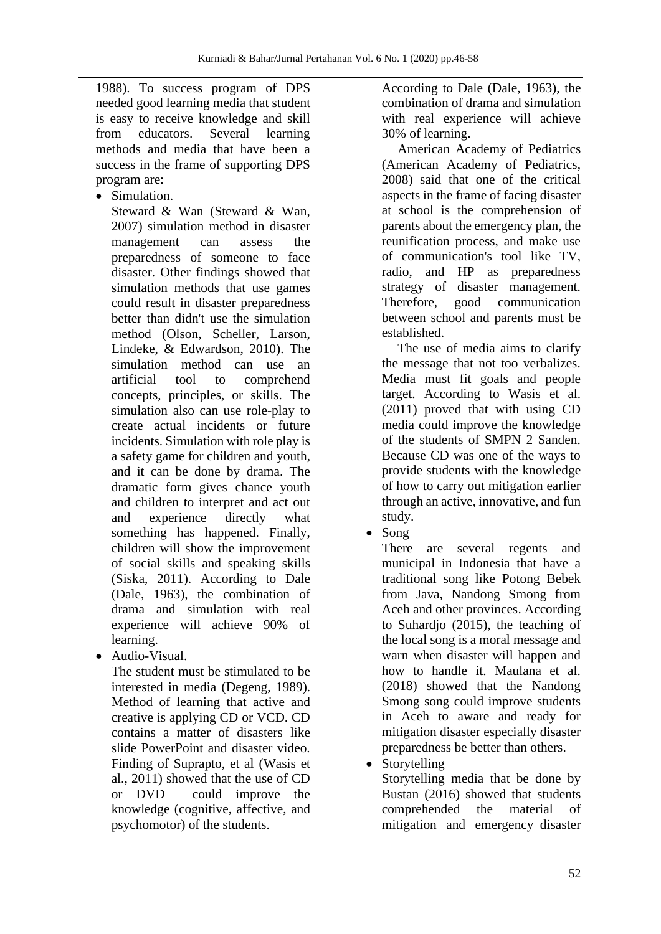1988). To success program of DPS needed good learning media that student is easy to receive knowledge and skill from educators. Several learning methods and media that have been a success in the frame of supporting DPS program are:

• Simulation.

Steward & Wan (Steward & Wan, 2007) simulation method in disaster management can assess the preparedness of someone to face disaster. Other findings showed that simulation methods that use games could result in disaster preparedness better than didn't use the simulation method (Olson, Scheller, Larson, Lindeke, & Edwardson, 2010). The simulation method can use an artificial tool to comprehend concepts, principles, or skills. The simulation also can use role-play to create actual incidents or future incidents. Simulation with role play is a safety game for children and youth, and it can be done by drama. The dramatic form gives chance youth and children to interpret and act out and experience directly what something has happened. Finally, children will show the improvement of social skills and speaking skills (Siska, 2011). According to Dale (Dale, 1963), the combination of drama and simulation with real experience will achieve 90% of learning.

• Audio-Visual.

The student must be stimulated to be interested in media (Degeng, 1989). Method of learning that active and creative is applying CD or VCD. CD contains a matter of disasters like slide PowerPoint and disaster video. Finding of Suprapto, et al (Wasis et al., 2011) showed that the use of CD or DVD could improve the knowledge (cognitive, affective, and psychomotor) of the students.

According to Dale (Dale, 1963), the combination of drama and simulation with real experience will achieve 30% of learning.

American Academy of Pediatrics (American Academy of Pediatrics, 2008) said that one of the critical aspects in the frame of facing disaster at school is the comprehension of parents about the emergency plan, the reunification process, and make use of communication's tool like TV, radio, and HP as preparedness strategy of disaster management. Therefore, good communication between school and parents must be established.

The use of media aims to clarify the message that not too verbalizes. Media must fit goals and people target. According to Wasis et al. (2011) proved that with using CD media could improve the knowledge of the students of SMPN 2 Sanden. Because CD was one of the ways to provide students with the knowledge of how to carry out mitigation earlier through an active, innovative, and fun study.

• Song

There are several regents and municipal in Indonesia that have a traditional song like Potong Bebek from Java, Nandong Smong from Aceh and other provinces. According to Suhardjo (2015), the teaching of the local song is a moral message and warn when disaster will happen and how to handle it. Maulana et al. (2018) showed that the Nandong Smong song could improve students in Aceh to aware and ready for mitigation disaster especially disaster preparedness be better than others.

• Storytelling

Storytelling media that be done by Bustan (2016) showed that students comprehended the material of mitigation and emergency disaster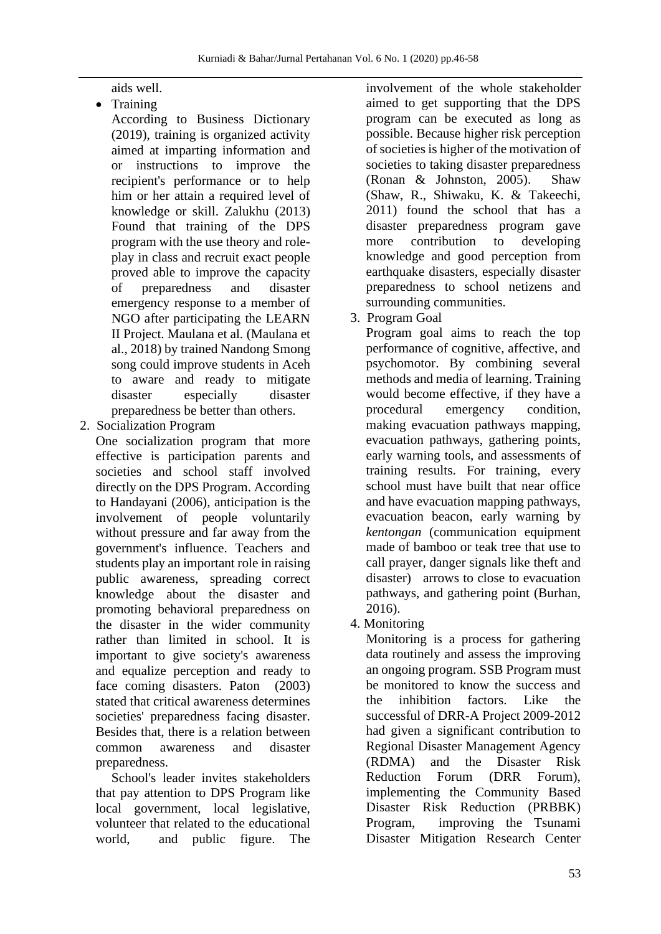aids well.

• Training

According to Business Dictionary (2019), training is organized activity aimed at imparting information and or instructions to improve the recipient's performance or to help him or her attain a required level of knowledge or skill. Zalukhu (2013) Found that training of the DPS program with the use theory and roleplay in class and recruit exact people proved able to improve the capacity of preparedness and disaster emergency response to a member of NGO after participating the LEARN II Project. Maulana et al. (Maulana et al., 2018) by trained Nandong Smong song could improve students in Aceh to aware and ready to mitigate disaster especially disaster preparedness be better than others.

2. Socialization Program

One socialization program that more effective is participation parents and societies and school staff involved directly on the DPS Program. According to Handayani (2006), anticipation is the involvement of people voluntarily without pressure and far away from the government's influence. Teachers and students play an important role in raising public awareness, spreading correct knowledge about the disaster and promoting behavioral preparedness on the disaster in the wider community rather than limited in school. It is important to give society's awareness and equalize perception and ready to face coming disasters. Paton (2003) stated that critical awareness determines societies' preparedness facing disaster. Besides that, there is a relation between common awareness and disaster preparedness.

School's leader invites stakeholders that pay attention to DPS Program like local government, local legislative, volunteer that related to the educational world, and public figure. The

involvement of the whole stakeholder aimed to get supporting that the DPS program can be executed as long as possible. Because higher risk perception of societies is higher of the motivation of societies to taking disaster preparedness (Ronan & Johnston, 2005). Shaw (Shaw, R., Shiwaku, K. & Takeechi, 2011) found the school that has a disaster preparedness program gave more contribution to developing knowledge and good perception from earthquake disasters, especially disaster preparedness to school netizens and surrounding communities.

3. Program Goal

Program goal aims to reach the top performance of cognitive, affective, and psychomotor. By combining several methods and media of learning. Training would become effective, if they have a procedural emergency condition, making evacuation pathways mapping, evacuation pathways, gathering points, early warning tools, and assessments of training results. For training, every school must have built that near office and have evacuation mapping pathways, evacuation beacon, early warning by *kentongan* (communication equipment made of bamboo or teak tree that use to call prayer, danger signals like theft and disaster) arrows to close to evacuation pathways, and gathering point (Burhan, 2016).

4. Monitoring

Monitoring is a process for gathering data routinely and assess the improving an ongoing program. SSB Program must be monitored to know the success and the inhibition factors. Like the successful of DRR-A Project 2009-2012 had given a significant contribution to Regional Disaster Management Agency (RDMA) and the Disaster Risk Reduction Forum (DRR Forum), implementing the Community Based Disaster Risk Reduction (PRBBK) Program, improving the Tsunami Disaster Mitigation Research Center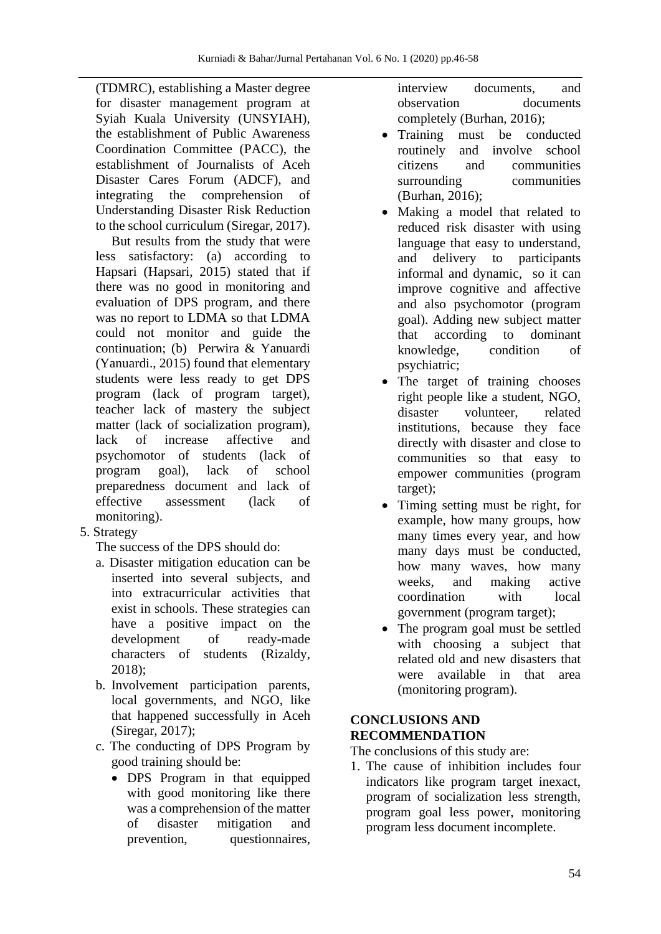(TDMRC), establishing a Master degree for disaster management program at Syiah Kuala University (UNSYIAH), the establishment of Public Awareness Coordination Committee (PACC), the establishment of Journalists of Aceh Disaster Cares Forum (ADCF), and integrating the comprehension of Understanding Disaster Risk Reduction to the school curriculum (Siregar, 2017).

But results from the study that were less satisfactory: (a) according to Hapsari (Hapsari, 2015) stated that if there was no good in monitoring and evaluation of DPS program, and there was no report to LDMA so that LDMA could not monitor and guide the continuation; (b) Perwira & Yanuardi (Yanuardi., 2015) found that elementary students were less ready to get DPS program (lack of program target), teacher lack of mastery the subject matter (lack of socialization program), lack of increase affective and psychomotor of students (lack of program goal), lack of school preparedness document and lack of effective assessment (lack of monitoring).

5. Strategy

The success of the DPS should do:

- a. Disaster mitigation education can be inserted into several subjects, and into extracurricular activities that exist in schools. These strategies can have a positive impact on the development of ready-made characters of students (Rizaldy, 2018);
- b. Involvement participation parents, local governments, and NGO, like that happened successfully in Aceh (Siregar, 2017);
- c. The conducting of DPS Program by good training should be:
	- DPS Program in that equipped with good monitoring like there was a comprehension of the matter of disaster mitigation and prevention, questionnaires,

interview documents, and observation documents completely (Burhan, 2016);

- Training must be conducted routinely and involve school citizens and communities surrounding communities (Burhan, 2016);
- Making a model that related to reduced risk disaster with using language that easy to understand, and delivery to participants informal and dynamic, so it can improve cognitive and affective and also psychomotor (program goal). Adding new subject matter that according to dominant knowledge, condition of psychiatric;
- The target of training chooses right people like a student, NGO, disaster volunteer, related institutions, because they face directly with disaster and close to communities so that easy to empower communities (program target);
- Timing setting must be right, for example, how many groups, how many times every year, and how many days must be conducted, how many waves, how many weeks, and making active coordination with local government (program target);
- The program goal must be settled with choosing a subject that related old and new disasters that were available in that area (monitoring program).

# **CONCLUSIONS AND RECOMMENDATION**

The conclusions of this study are:

1. The cause of inhibition includes four indicators like program target inexact, program of socialization less strength, program goal less power, monitoring program less document incomplete.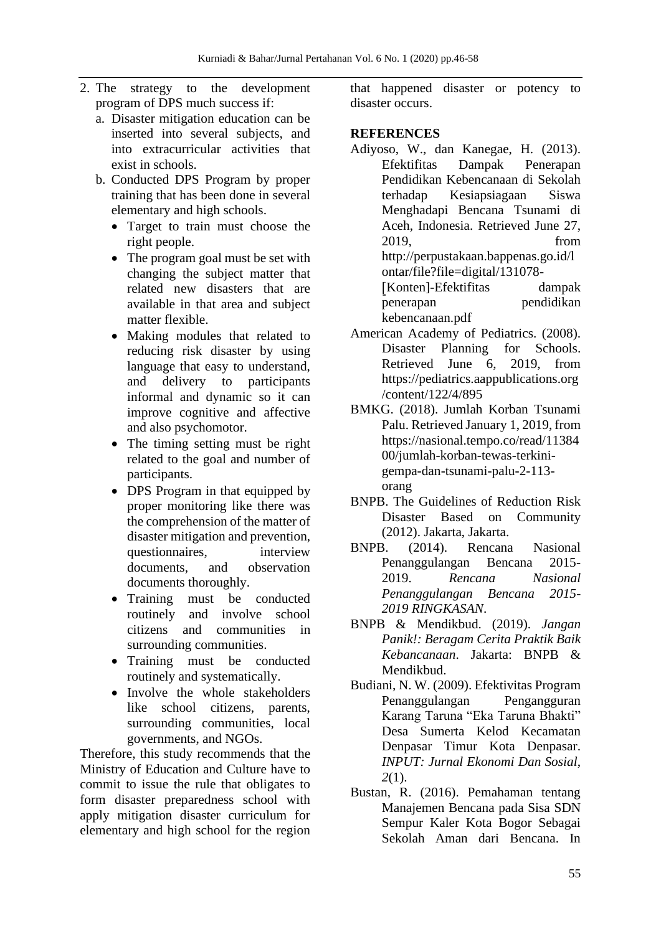- 2. The strategy to the development program of DPS much success if:
	- a. Disaster mitigation education can be inserted into several subjects, and into extracurricular activities that exist in schools.
	- b. Conducted DPS Program by proper training that has been done in several elementary and high schools.
		- Target to train must choose the right people.
		- The program goal must be set with changing the subject matter that related new disasters that are available in that area and subject matter flexible.
		- Making modules that related to reducing risk disaster by using language that easy to understand, and delivery to participants informal and dynamic so it can improve cognitive and affective and also psychomotor.
		- The timing setting must be right related to the goal and number of participants.
		- DPS Program in that equipped by proper monitoring like there was the comprehension of the matter of disaster mitigation and prevention, questionnaires, interview documents, and observation documents thoroughly.
		- Training must be conducted routinely and involve school citizens and communities in surrounding communities.
		- Training must be conducted routinely and systematically.
		- Involve the whole stakeholders like school citizens, parents, surrounding communities, local governments, and NGOs.

Therefore, this study recommends that the Ministry of Education and Culture have to commit to issue the rule that obligates to form disaster preparedness school with apply mitigation disaster curriculum for elementary and high school for the region that happened disaster or potency to disaster occurs.

# **REFERENCES**

- Adiyoso, W., dan Kanegae, H. (2013). Efektifitas Dampak Penerapan Pendidikan Kebencanaan di Sekolah terhadap Kesiapsiagaan Siswa Menghadapi Bencana Tsunami di Aceh, Indonesia. Retrieved June 27, 2019, from http://perpustakaan.bappenas.go.id/l ontar/file?file=digital/131078- ⦋Konten]-Efektifitas dampak penerapan pendidikan kebencanaan.pdf
- American Academy of Pediatrics. (2008). Disaster Planning for Schools. Retrieved June 6, 2019, from https://pediatrics.aappublications.org /content/122/4/895
- BMKG. (2018). Jumlah Korban Tsunami Palu. Retrieved January 1, 2019, from https://nasional.tempo.co/read/11384 00/jumlah-korban-tewas-terkinigempa-dan-tsunami-palu-2-113 orang
- BNPB. The Guidelines of Reduction Risk Disaster Based on Community (2012). Jakarta, Jakarta.
- BNPB. (2014). Rencana Nasional Penanggulangan Bencana 2015- 2019. *Rencana Nasional Penanggulangan Bencana 2015- 2019 RINGKASAN*.
- BNPB & Mendikbud. (2019). *Jangan Panik!: Beragam Cerita Praktik Baik Kebancanaan*. Jakarta: BNPB & Mendikbud.
- Budiani, N. W. (2009). Efektivitas Program Penanggulangan Pengangguran Karang Taruna "Eka Taruna Bhakti" Desa Sumerta Kelod Kecamatan Denpasar Timur Kota Denpasar. *INPUT: Jurnal Ekonomi Dan Sosial*, *2*(1).
- Bustan, R. (2016). Pemahaman tentang Manajemen Bencana pada Sisa SDN Sempur Kaler Kota Bogor Sebagai Sekolah Aman dari Bencana. In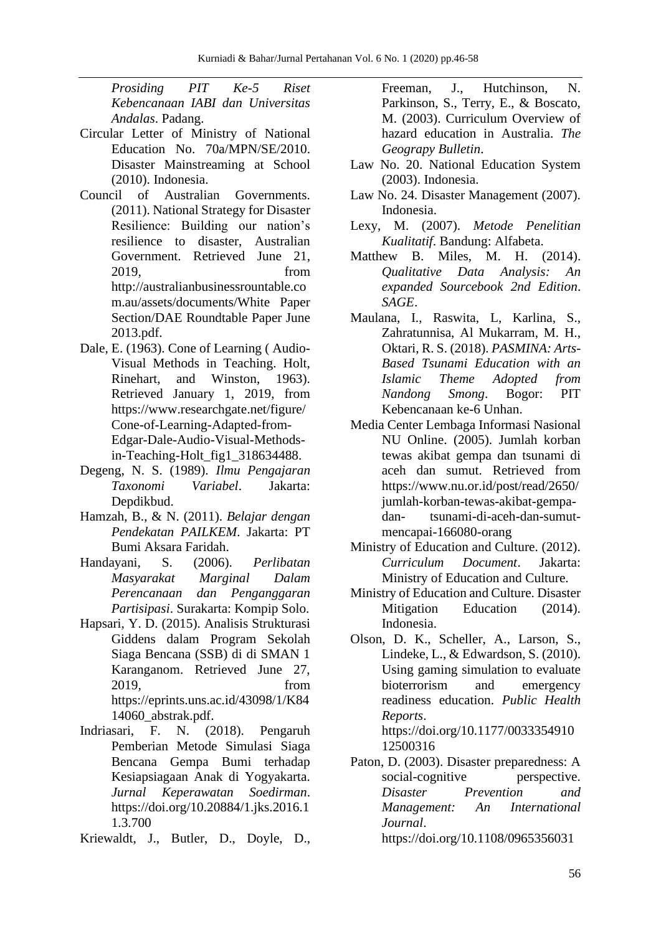*Prosiding PIT Ke-5 Riset Kebencanaan IABI dan Universitas Andalas*. Padang.

- Circular Letter of Ministry of National Education No. 70a/MPN/SE/2010. Disaster Mainstreaming at School (2010). Indonesia.
- Council of Australian Governments. (2011). National Strategy for Disaster Resilience: Building our nation's resilience to disaster, Australian Government. Retrieved June 21, 2019, from http://australianbusinessrountable.co m.au/assets/documents/White Paper Section/DAE Roundtable Paper June 2013.pdf.
- Dale, E. (1963). Cone of Learning ( Audio-Visual Methods in Teaching. Holt, Rinehart, and Winston, 1963). Retrieved January 1, 2019, from https://www.researchgate.net/figure/ Cone-of-Learning-Adapted-from-Edgar-Dale-Audio-Visual-Methodsin-Teaching-Holt\_fig1\_318634488.
- Degeng, N. S. (1989). *Ilmu Pengajaran Taxonomi Variabel*. Jakarta: Depdikbud.
- Hamzah, B., & N. (2011). *Belajar dengan Pendekatan PAILKEM*. Jakarta: PT Bumi Aksara Faridah.
- Handayani, S. (2006). *Perlibatan Masyarakat Marginal Dalam Perencanaan dan Penganggaran Partisipasi*. Surakarta: Kompip Solo.
- Hapsari, Y. D. (2015). Analisis Strukturasi Giddens dalam Program Sekolah Siaga Bencana (SSB) di di SMAN 1 Karanganom. Retrieved June 27, 2019, from https://eprints.uns.ac.id/43098/1/K84 14060\_abstrak.pdf.
- Indriasari, F. N. (2018). Pengaruh Pemberian Metode Simulasi Siaga Bencana Gempa Bumi terhadap Kesiapsiagaan Anak di Yogyakarta. *Jurnal Keperawatan Soedirman*. https://doi.org/10.20884/1.jks.2016.1 1.3.700
- Kriewaldt, J., Butler, D., Doyle, D.,

Freeman, J., Hutchinson, N. Parkinson, S., Terry, E., & Boscato, M. (2003). Curriculum Overview of hazard education in Australia. *The Geograpy Bulletin*.

- Law No. 20. National Education System (2003). Indonesia.
- Law No. 24. Disaster Management (2007). Indonesia.
- Lexy, M. (2007). *Metode Penelitian Kualitatif*. Bandung: Alfabeta.
- Matthew B. Miles, M. H. (2014). *Qualitative Data Analysis: An expanded Sourcebook 2nd Edition*. *SAGE*.
- Maulana, I., Raswita, L, Karlina, S., Zahratunnisa, Al Mukarram, M. H., Oktari, R. S. (2018). *PASMINA: Arts-Based Tsunami Education with an Islamic Theme Adopted from Nandong Smong*. Bogor: PIT Kebencanaan ke-6 Unhan.
- Media Center Lembaga Informasi Nasional NU Online. (2005). Jumlah korban tewas akibat gempa dan tsunami di aceh dan sumut. Retrieved from https://www.nu.or.id/post/read/2650/ jumlah-korban-tewas-akibat-gempadan- tsunami-di-aceh-dan-sumutmencapai-166080-orang
- Ministry of Education and Culture. (2012). *Curriculum Document*. Jakarta: Ministry of Education and Culture.
- Ministry of Education and Culture. Disaster Mitigation Education (2014). Indonesia.
- Olson, D. K., Scheller, A., Larson, S., Lindeke, L., & Edwardson, S. (2010). Using gaming simulation to evaluate bioterrorism and emergency readiness education. *Public Health Reports*. https://doi.org/10.1177/0033354910 12500316
- Paton, D. (2003). Disaster preparedness: A social-cognitive perspective. *Disaster Prevention and Management: An International Journal*. https://doi.org/10.1108/0965356031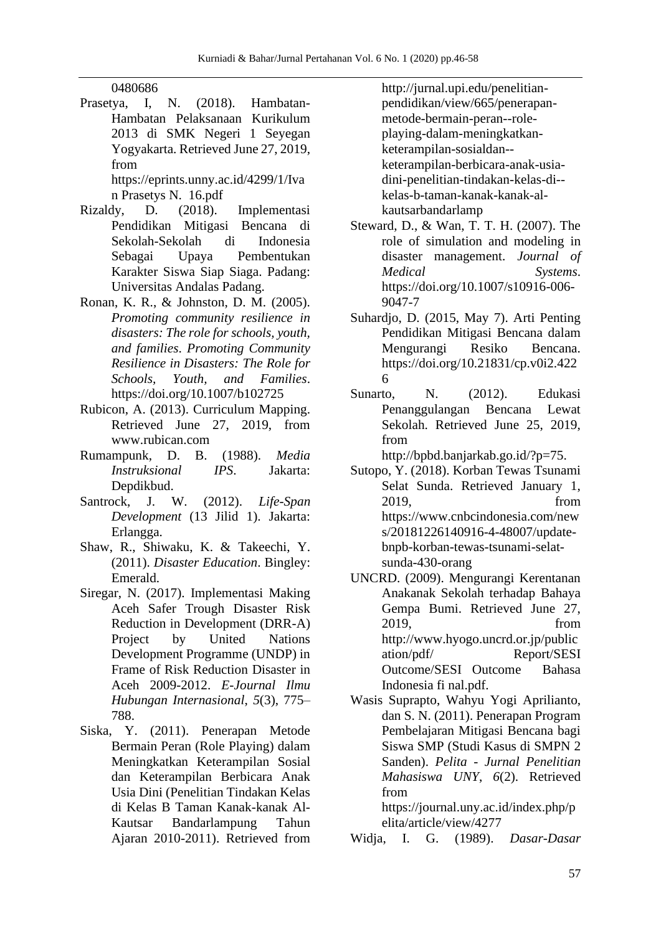## 0480686

Prasetya, I, N. (2018). Hambatan-Hambatan Pelaksanaan Kurikulum 2013 di SMK Negeri 1 Seyegan Yogyakarta. Retrieved June 27, 2019, from https://eprints.unny.ac.id/4299/1/Iva

n Prasetys N. 16.pdf

- Rizaldy, D. (2018). Implementasi Pendidikan Mitigasi Bencana di Sekolah-Sekolah di Indonesia Sebagai Upaya Pembentukan Karakter Siswa Siap Siaga. Padang: Universitas Andalas Padang.
- Ronan, K. R., & Johnston, D. M. (2005). *Promoting community resilience in disasters: The role for schools, youth, and families*. *Promoting Community Resilience in Disasters: The Role for Schools, Youth, and Families*. https://doi.org/10.1007/b102725
- Rubicon, A. (2013). Curriculum Mapping. Retrieved June 27, 2019, from www.rubican.com
- Rumampunk, D. B. (1988). *Media Instruksional IPS*. Jakarta: Depdikbud.
- Santrock, J. W. (2012). *Life-Span Development* (13 Jilid 1). Jakarta: Erlangga.
- Shaw, R., Shiwaku, K. & Takeechi, Y. (2011). *Disaster Education*. Bingley: Emerald.
- Siregar, N. (2017). Implementasi Making Aceh Safer Trough Disaster Risk Reduction in Development (DRR-A) Project by United Nations Development Programme (UNDP) in Frame of Risk Reduction Disaster in Aceh 2009-2012. *E-Journal Ilmu Hubungan Internasional*, *5*(3), 775– 788.
- Siska, Y. (2011). Penerapan Metode Bermain Peran (Role Playing) dalam Meningkatkan Keterampilan Sosial dan Keterampilan Berbicara Anak Usia Dini (Penelitian Tindakan Kelas di Kelas B Taman Kanak-kanak Al-Kautsar Bandarlampung Tahun Ajaran 2010-2011). Retrieved from

http://jurnal.upi.edu/penelitianpendidikan/view/665/penerapanmetode-bermain-peran--roleplaying-dalam-meningkatkanketerampilan-sosialdan- keterampilan-berbicara-anak-usiadini-penelitian-tindakan-kelas-di- kelas-b-taman-kanak-kanak-alkautsarbandarlamp

- Steward, D., & Wan, T. T. H. (2007). The role of simulation and modeling in disaster management. *Journal of Medical Systems*. https://doi.org/10.1007/s10916-006- 9047-7
- Suhardjo, D. (2015, May 7). Arti Penting Pendidikan Mitigasi Bencana dalam Mengurangi Resiko Bencana. https://doi.org/10.21831/cp.v0i2.422 6
- Sunarto, N. (2012). Edukasi Penanggulangan Bencana Lewat Sekolah. Retrieved June 25, 2019, from

http://bpbd.banjarkab.go.id/?p=75.

- Sutopo, Y. (2018). Korban Tewas Tsunami Selat Sunda. Retrieved January 1, 2019, from https://www.cnbcindonesia.com/new s/20181226140916-4-48007/updatebnpb-korban-tewas-tsunami-selatsunda-430-orang
- UNCRD. (2009). Mengurangi Kerentanan Anakanak Sekolah terhadap Bahaya Gempa Bumi. Retrieved June 27, 2019, from http://www.hyogo.uncrd.or.jp/public ation/pdf/ Report/SESI Outcome/SESI Outcome Bahasa Indonesia fi nal.pdf.
- Wasis Suprapto, Wahyu Yogi Aprilianto, dan S. N. (2011). Penerapan Program Pembelajaran Mitigasi Bencana bagi Siswa SMP (Studi Kasus di SMPN 2 Sanden). *Pelita - Jurnal Penelitian Mahasiswa UNY*, *6*(2). Retrieved from

https://journal.uny.ac.id/index.php/p elita/article/view/4277

Widja, I. G. (1989). *Dasar-Dasar*